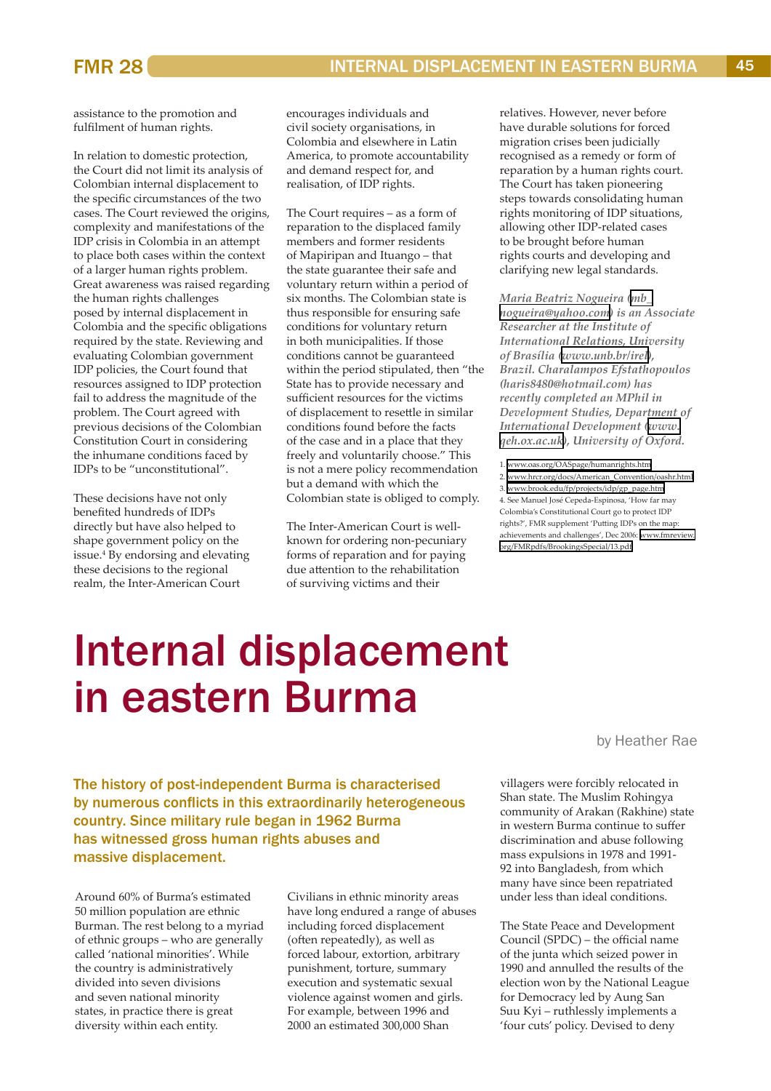# Internal displacement in eastern Burma

The history of post-independent Burma is characterised by numerous conflicts in this extraordinarily heterogeneous country. Since military rule began in 1962 Burma has witnessed gross human rights abuses and massive displacement.

Around 60% of Burma's estimated 50 million population are ethnic Burman. The rest belong to a myriad of ethnic groups – who are generally called 'national minorities'. While the country is administratively divided into seven divisions and seven national minority states, in practice there is great diversity within each entity.

Civilians in ethnic minority areas have long endured a range of abuses including forced displacement (often repeatedly), as well as forced labour, extortion, arbitrary punishment, torture, summary execution and systematic sexual violence against women and girls. For example, between 1996 and 2000 an estimated 300,000 Shan

by Heather Rae

villagers were forcibly relocated in Shan state. The Muslim Rohingya community of Arakan (Rakhine) state in western Burma continue to suffer discrimination and abuse following mass expulsions in 1978 and 1991- 92 into Bangladesh, from which many have since been repatriated under less than ideal conditions.

The State Peace and Development Council (SPDC) – the official name of the junta which seized power in 1990 and annulled the results of the election won by the National League for Democracy led by Aung San Suu Kyi – ruthlessly implements a 'four cuts' policy. Devised to deny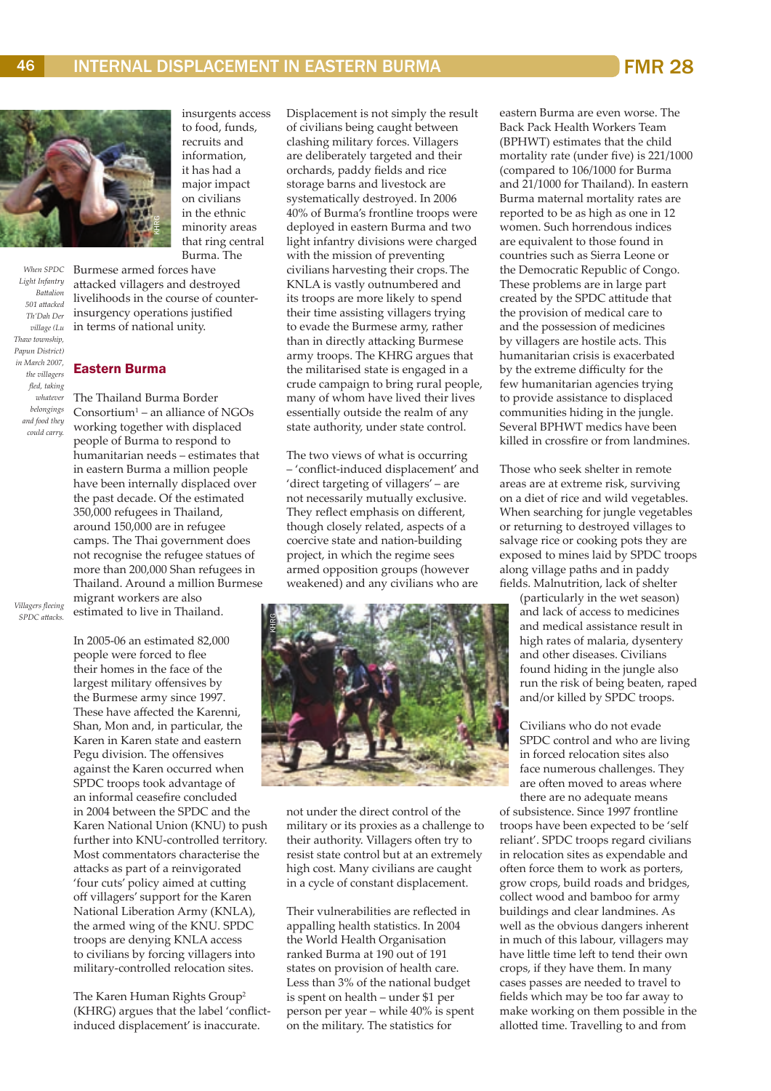

*When SPDC Light Infantry Battalion 501 attacked Th'Dah Der village (Lu Thaw township, Papun District) in March 2007, the villagers fled, taking whatever belongings and food they could carry.* 

insurgents access to food, funds, recruits and information, it has had a major impact on civilians in the ethnic minority areas that ring central Burma. The

Burmese armed forces have attacked villagers and destroyed livelihoods in the course of counterinsurgency operations justified in terms of national unity.

## Eastern Burma

The Thailand Burma Border Consortium<sup>1</sup> – an alliance of NGOs working together with displaced people of Burma to respond to humanitarian needs – estimates that in eastern Burma a million people have been internally displaced over the past decade. Of the estimated 350,000 refugees in Thailand, around 150,000 are in refugee camps. The Thai government does not recognise the refugee statues of more than 200,000 Shan refugees in Thailand. Around a million Burmese migrant workers are also estimated to live in Thailand.

*Villagers fleeing SPDC attacks.*

> In 2005-06 an estimated 82,000 people were forced to flee their homes in the face of the largest military offensives by the Burmese army since 1997. These have affected the Karenni, Shan, Mon and, in particular, the Karen in Karen state and eastern Pegu division. The offensives against the Karen occurred when SPDC troops took advantage of an informal ceasefire concluded in 2004 between the SPDC and the Karen National Union (KNU) to push further into KNU-controlled territory. Most commentators characterise the attacks as part of a reinvigorated 'four cuts' policy aimed at cutting off villagers' support for the Karen National Liberation Army (KNLA), the armed wing of the KNU. SPDC troops are denying KNLA access to civilians by forcing villagers into military-controlled relocation sites.

The Karen Human Rights Group<sup>2</sup> (KHRG) argues that the label 'conflictinduced displacement' is inaccurate.

Displacement is not simply the result of civilians being caught between clashing military forces. Villagers are deliberately targeted and their orchards, paddy fields and rice storage barns and livestock are systematically destroyed. In 2006 40% of Burma's frontline troops were deployed in eastern Burma and two light infantry divisions were charged with the mission of preventing civilians harvesting their crops.The KNLA is vastly outnumbered and its troops are more likely to spend their time assisting villagers trying to evade the Burmese army, rather than in directly attacking Burmese army troops. The KHRG argues that the militarised state is engaged in a crude campaign to bring rural people, many of whom have lived their lives essentially outside the realm of any state authority, under state control.

The two views of what is occurring – 'conflict-induced displacement' and 'direct targeting of villagers' – are not necessarily mutually exclusive. They reflect emphasis on different, though closely related, aspects of a coercive state and nation-building project, in which the regime sees armed opposition groups (however weakened) and any civilians who are



not under the direct control of the military or its proxies as a challenge to their authority. Villagers often try to resist state control but at an extremely high cost. Many civilians are caught in a cycle of constant displacement.

Their vulnerabilities are reflected in appalling health statistics. In 2004 the World Health Organisation ranked Burma at 190 out of 191 states on provision of health care. Less than 3% of the national budget is spent on health – under \$1 per person per year – while 40% is spent on the military. The statistics for

eastern Burma are even worse. The Back Pack Health Workers Team (BPHWT) estimates that the child mortality rate (under five) is 221/1000 (compared to 106/1000 for Burma and 21/1000 for Thailand). In eastern Burma maternal mortality rates are reported to be as high as one in 12 women. Such horrendous indices are equivalent to those found in countries such as Sierra Leone or the Democratic Republic of Congo. These problems are in large part created by the SPDC attitude that the provision of medical care to and the possession of medicines by villagers are hostile acts. This humanitarian crisis is exacerbated by the extreme difficulty for the few humanitarian agencies trying to provide assistance to displaced communities hiding in the jungle. Several BPHWT medics have been killed in crossfire or from landmines.

Those who seek shelter in remote areas are at extreme risk, surviving on a diet of rice and wild vegetables. When searching for jungle vegetables or returning to destroyed villages to salvage rice or cooking pots they are exposed to mines laid by SPDC troops along village paths and in paddy fields. Malnutrition, lack of shelter

(particularly in the wet season) and lack of access to medicines and medical assistance result in high rates of malaria, dysentery and other diseases. Civilians found hiding in the jungle also run the risk of being beaten, raped and/or killed by SPDC troops.

Civilians who do not evade SPDC control and who are living in forced relocation sites also face numerous challenges. They are often moved to areas where there are no adequate means

of subsistence. Since 1997 frontline troops have been expected to be 'self reliant'. SPDC troops regard civilians in relocation sites as expendable and often force them to work as porters, grow crops, build roads and bridges, collect wood and bamboo for army buildings and clear landmines. As well as the obvious dangers inherent in much of this labour, villagers may have little time left to tend their own crops, if they have them. In many cases passes are needed to travel to fields which may be too far away to make working on them possible in the allotted time. Travelling to and from